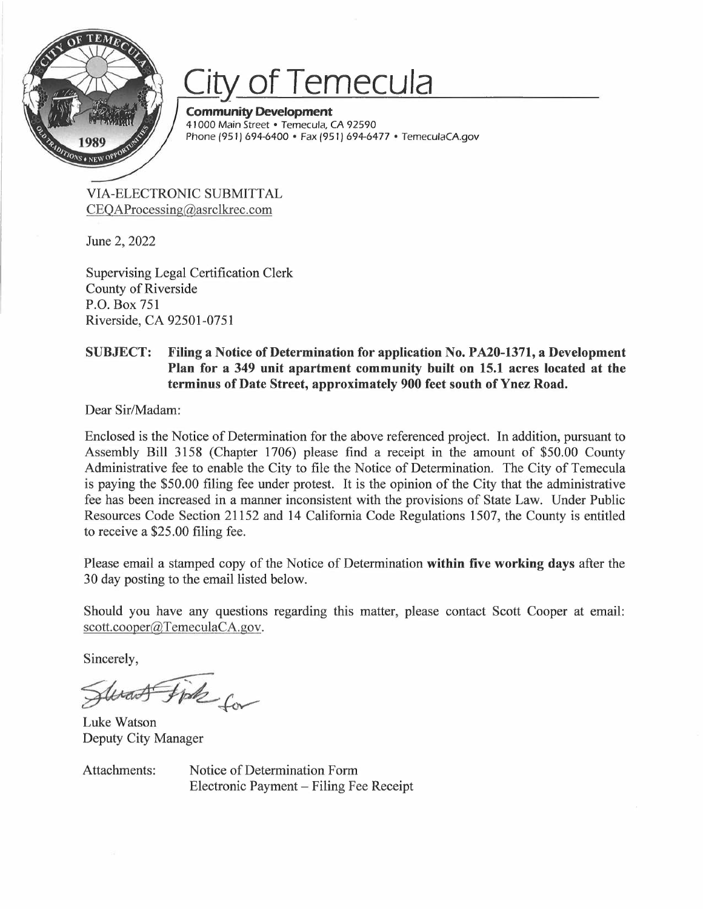

# *City* **of Temecula**

**Community Development**  41 000 Main Street • Temecula, CA 92590 Phone (951) 694-6400 • Fax (951) 694-6477 • TemeculaCA.gov

VIA-ELECTRONIC SUBMITTAL CEQAProcessing@asrclkrec.com

June 2, 2022

Supervising Legal Certification Clerk County of Riverside P.O. Box 751 Riverside, CA 92501-0751

### **SUBJECT: Filing a Notice of Determination for application No. PA20-1371, a Development Plan for a 349 unit apartment community built on 15.1 acres located at the terminus of Date Street, approximately 900 feet south of Ynez Road.**

Dear Sir/Madam:

Enclosed is the Notice of Determination for the above referenced project. In addition, pursuant to Assembly Bill 3158 (Chapter 1706) please find a receipt in the amount of \$50.00 County Administrative fee to enable the City to file the Notice of Determination. The City of Temecula is paying the \$50.00 filing fee under protest. It is the opinion of the City that the administrative fee has been increased in a manner inconsistent with the provisions of State Law. Under Public Resources Code Section 21152 and 14 California Code Regulations 1507, the County is entitled to receive a \$25.00 filing fee.

Please email a stamped copy of the Notice of Determination **within five working days** after the 30 day posting to the email listed below.

Should you have any questions regarding this matter, please contact Scott Cooper at email: scott.cooper@TemeculaCA.gov.

Sincerely,

Swart Fisk for

Luke Watson Deputy City Manager

Attachments: Notice of Determination Form Electronic Payment- Filing Fee Receipt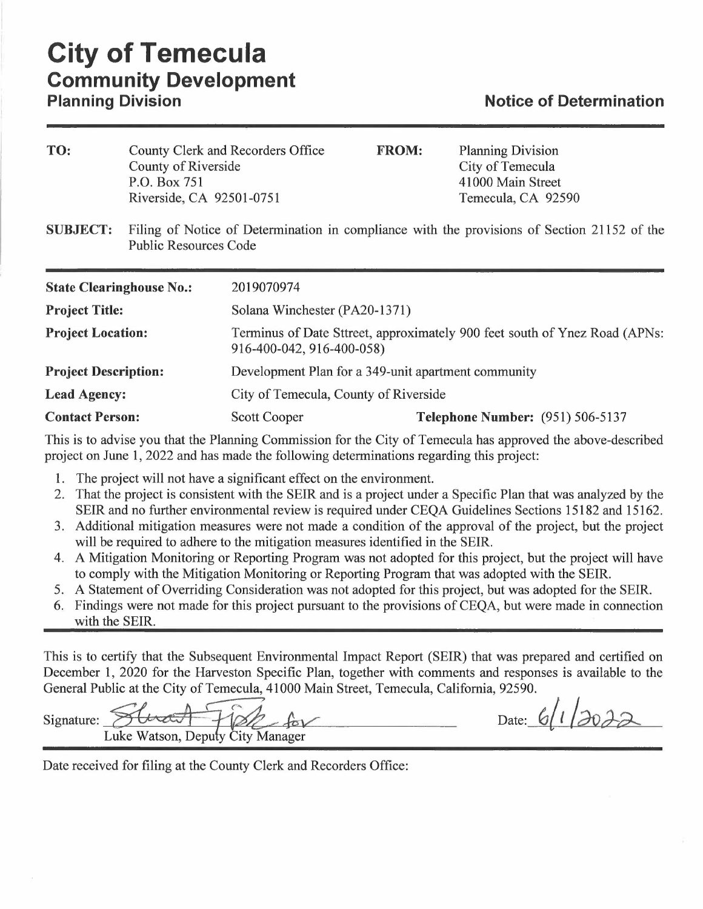| TO:<br>County Clerk and Recorders Office<br><b>FROM:</b><br>County of Riverside<br>P.O. Box 751<br>Riverside, CA 92501-0751 | <b>Planning Division</b><br>City of Temecula<br>41000 Main Street<br>Temecula, CA 92590 |
|-----------------------------------------------------------------------------------------------------------------------------|-----------------------------------------------------------------------------------------|
|-----------------------------------------------------------------------------------------------------------------------------|-----------------------------------------------------------------------------------------|

**SUBJECT:** Filing of Notice of Determination in compliance with the provisions of Section 21152 of the Public Resources Code

| <b>State Clearinghouse No.:</b> | 2019070974                                          |                                                                            |
|---------------------------------|-----------------------------------------------------|----------------------------------------------------------------------------|
| <b>Project Title:</b>           | Solana Winchester (PA20-1371)                       |                                                                            |
| <b>Project Location:</b>        | 916-400-042, 916-400-058)                           | Terminus of Date Sttreet, approximately 900 feet south of Ynez Road (APNs: |
| <b>Project Description:</b>     | Development Plan for a 349-unit apartment community |                                                                            |
| <b>Lead Agency:</b>             | City of Temecula, County of Riverside               |                                                                            |
| <b>Contact Person:</b>          | <b>Scott Cooper</b>                                 | <b>Telephone Number:</b> (951) 506-5137                                    |

This is to advise you that the Planning Commission for the City of Temecula has approved the above-described project on June 1, 2022 and has made the following determinations regarding this project:

- 1. The project will not have a significant effect on the environment.
- 2. That the project is consistent with the SEIR and is a project under a Specific Plan that was analyzed by the SEIR and no further environmental review is required under CEQA Guidelines Sections 15182 and 15162.
- 3. Additional mitigation measures were not made a condition of the approval of the project, but the project will be required to adhere to the mitigation measures identified in the SEIR.
- 4. A Mitigation Monitoring or Reporting Program was not adopted for this project, but the project will have to comply with the Mitigation Monitoring or Reporting Program that was adopted with the SEIR.
- 5. A Statement of Overriding Consideration was not adopted for this project, but was adopted for the SEIR.
- 6. Findings were not made for this project pursuant to the provisions of CEQA, but were made in connection with the SEIR.

This is to certify that the Subsequent Environmental Impact Report (SEIR) that was prepared and certified on General Public at the City of Temecula, 41000 Main Street, Temecula, California, 92590.

| This is to centry that the Buosequent Environmental Impact Kepoli (BEIK) that was prepared and centrica on |                  |
|------------------------------------------------------------------------------------------------------------|------------------|
| December 1, 2020 for the Harveston Specific Plan, together with comments and responses is available to the |                  |
| General Public at the City of Temecula, 41000 Main Street, Temecula, California, 92590.                    |                  |
| Signature: Strat Fish for<br>Luke Watson, Deputy City Manager                                              | Date: $6/1/3022$ |

Date received for filing at the County Clerk and Recorders Office: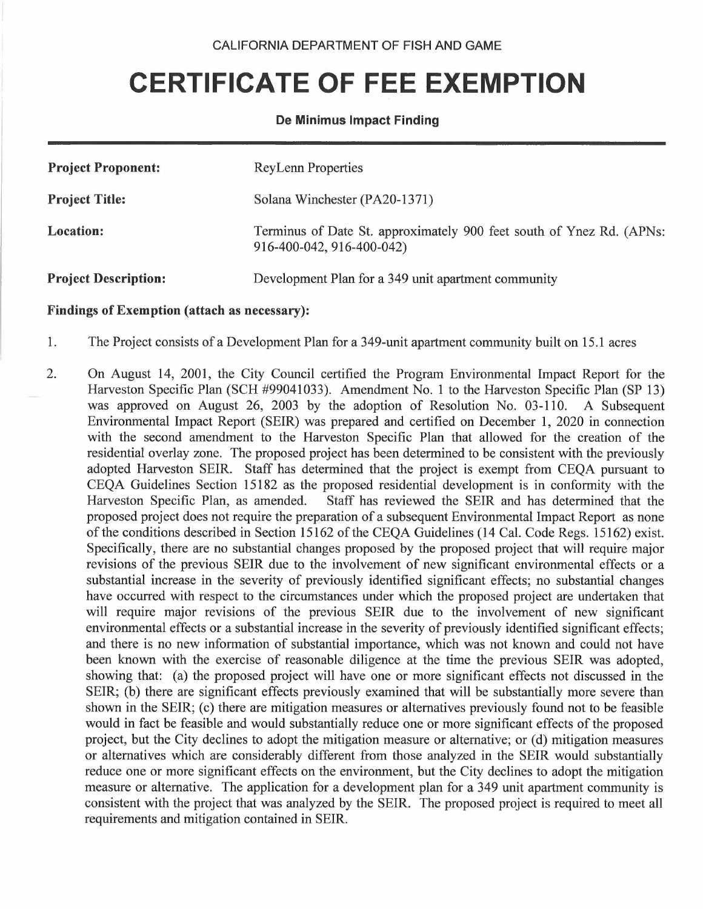## **CERTIFICATE OF FEE EXEMPTION**

### **De Minimus Impact Finding**

| <b>Project Proponent:</b>   | <b>ReyLenn Properties</b>                                                                         |
|-----------------------------|---------------------------------------------------------------------------------------------------|
| <b>Project Title:</b>       | Solana Winchester (PA20-1371)                                                                     |
| <b>Location:</b>            | Terminus of Date St. approximately 900 feet south of Ynez Rd. (APNs:<br>916-400-042, 916-400-042) |
| <b>Project Description:</b> | Development Plan for a 349 unit apartment community                                               |

### **Findings of Exemption (attach as necessary):**

- 1. The Project consists of a Development Plan for a 349-unit apartment community built on 15 .1 acres
- 2. On August 14, 2001, the City Council certified the Program Environmental Impact Report for the Harveston Specific Plan (SCH #99041033). Amendment No. 1 to the Harveston Specific Plan (SP 13) was approved on August 26, 2003 by the adoption of Resolution No. 03-110. A Subsequent Environmental Impact Report (SEIR) was prepared and certified on December 1, 2020 in connection with the second amendment to the Harveston Specific Plan that allowed for the creation of the residential overlay zone. The proposed project has been determined to be consistent with the previously adopted Harveston SEIR. Staff has determined that the project is exempt from CEQA pursuant to CEQA Guidelines Section 15182 as the proposed residential development is in conformity with the Staff has reviewed the SEIR and has determined that the proposed project does not require the preparation of a subsequent Environmental Impact Report as none of the conditions described in Section 15162 of the CEQA Guidelines (14 Cal. Code Regs. 15162) exist. Specifically, there are no substantial changes proposed by the proposed project that will require major revisions of the previous SEIR due to the involvement of new significant environmental effects or a substantial increase in the severity of previously identified significant effects; no substantial changes have occurred with respect to the circumstances under which the proposed project are undertaken that will require major revisions of the previous SEIR due to the involvement of new significant environmental effects or a substantial increase in the severity of previously identified significant effects; and there is no new information of substantial importance, which was not known and could not have been known with the exercise of reasonable diligence at the time the previous SEIR was adopted, showing that: (a) the proposed project will have one or more significant effects not discussed in the SEIR; (b) there are significant effects previously examined that will be substantially more severe than shown in the SEIR; (c) there are mitigation measures or alternatives previously found not to be feasible would in fact be feasible and would substantially reduce one or more significant effects of the proposed project, but the City declines to adopt the mitigation measure or alternative; or (d) mitigation measures or alternatives which are considerably different from those analyzed in the SEIR would substantially reduce one or more significant effects on the environment, but the City declines to adopt the mitigation measure or alternative. The application for a development plan for a 349 unit apartment community is consistent with the project that was analyzed by the SEIR. The proposed project is required to meet all requirements and mitigation contained in SEIR.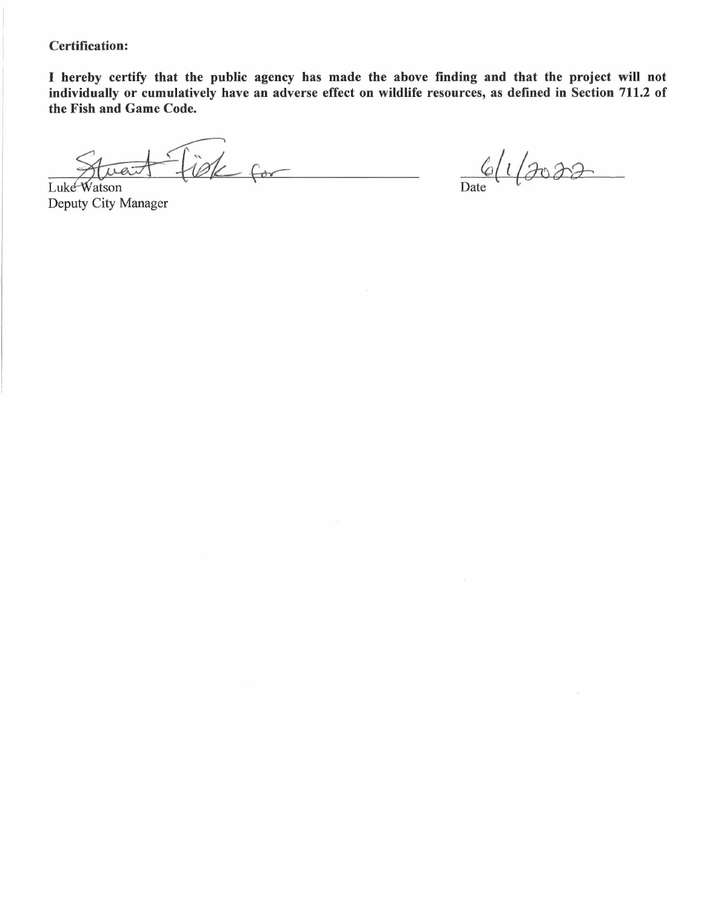Certification:

I hereby certify that the public agency has made the above finding and that the project will not individually or cumulatively have an adverse effect on wildlife resources, as defined in Section 711.2 of the Fish and Game Code.

 $i$  of  $\leftarrow$ 

 $6/1/3002$ 

Luke<sup>W</sup>atson Deputy City Manager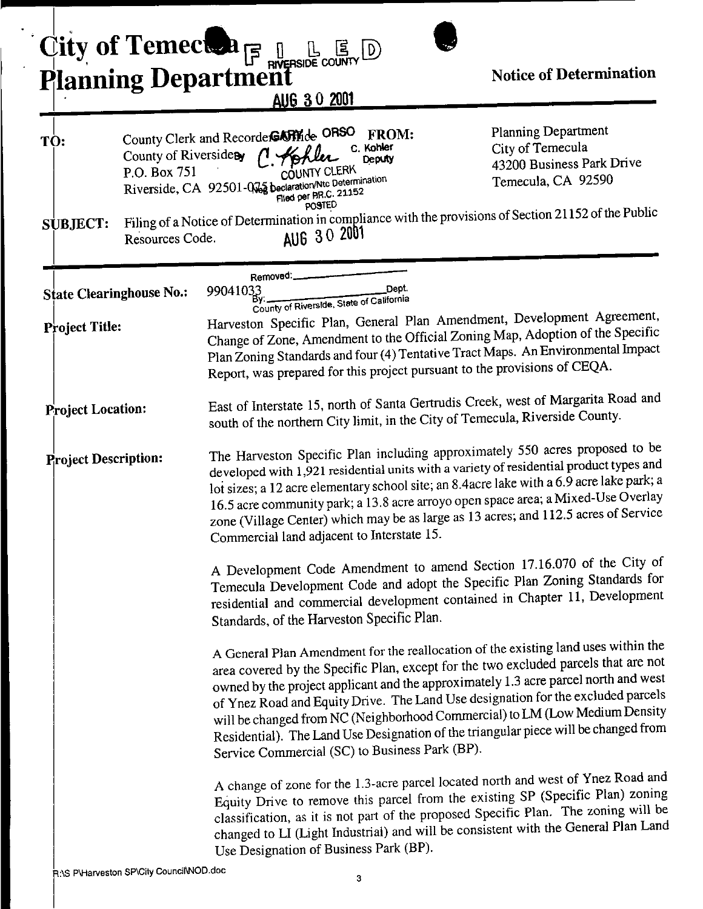|                             |                                       | <b>City of Temecton F III</b><br>Planning Department<br><b>D</b> L<br>RIVERSIDE COUNTY<br>AUG 30 2001                                                                                                                                                                                                                                                                                                                                                                                                                                                                        | <b>Notice of Determination</b>                                                             |
|-----------------------------|---------------------------------------|------------------------------------------------------------------------------------------------------------------------------------------------------------------------------------------------------------------------------------------------------------------------------------------------------------------------------------------------------------------------------------------------------------------------------------------------------------------------------------------------------------------------------------------------------------------------------|--------------------------------------------------------------------------------------------|
| TO:                         | County of Riversidery<br>P.O. Box 751 | County Clerk and RecorderGATHide ORSO<br><b>FROM:</b><br>C. Kohler<br>Deputy<br>COUNTY CLERK<br>Riverside, CA 92501-025 beclaration/Ntc Determination<br>Filed per P.R.C. 21152                                                                                                                                                                                                                                                                                                                                                                                              | Planning Department<br>City of Temecula<br>43200 Business Park Drive<br>Temecula, CA 92590 |
| <b>SUBJECT:</b>             | Resources Code.                       | <b>POSTED</b><br>Filing of a Notice of Determination in compliance with the provisions of Section 21152 of the Public<br>AUG 30 2001                                                                                                                                                                                                                                                                                                                                                                                                                                         |                                                                                            |
| <b>Project Title:</b>       | <b>State Clearinghouse No.:</b>       | Removed:<br>Dept.<br>99041033<br>County of Riverside, State of California<br>Harveston Specific Plan, General Plan Amendment, Development Agreement,<br>Change of Zone, Amendment to the Official Zoning Map, Adoption of the Specific<br>Plan Zoning Standards and four (4) Tentative Tract Maps. An Environmental Impact<br>Report, was prepared for this project pursuant to the provisions of CEQA.                                                                                                                                                                      |                                                                                            |
| <b>Project Location:</b>    |                                       | East of Interstate 15, north of Santa Gertrudis Creek, west of Margarita Road and<br>south of the northern City limit, in the City of Temecula, Riverside County.                                                                                                                                                                                                                                                                                                                                                                                                            |                                                                                            |
| <b>Project Description:</b> |                                       | The Harveston Specific Plan including approximately 550 acres proposed to be<br>developed with 1,921 residential units with a variety of residential product types and<br>lot sizes; a 12 acre elementary school site; an 8.4 acre lake with a 6.9 acre lake park; a<br>16.5 acre community park; a 13.8 acre arroyo open space area; a Mixed-Use Overlay<br>zone (Village Center) which may be as large as 13 acres; and 112.5 acres of Service<br>Commercial land adjacent to Interstate 15.                                                                               |                                                                                            |
|                             |                                       | A Development Code Amendment to amend Section 17.16.070 of the City of<br>Temecula Development Code and adopt the Specific Plan Zoning Standards for<br>residential and commercial development contained in Chapter 11, Development<br>Standards, of the Harveston Specific Plan.                                                                                                                                                                                                                                                                                            |                                                                                            |
|                             |                                       | A General Plan Amendment for the reallocation of the existing land uses within the<br>area covered by the Specific Plan, except for the two excluded parcels that are not<br>owned by the project applicant and the approximately 1.3 acre parcel north and west<br>of Ynez Road and Equity Drive. The Land Use designation for the excluded parcels<br>will be changed from NC (Neighborhood Commercial) to LM (Low Medium Density<br>Residential). The Land Use Designation of the triangular piece will be changed from<br>Service Commercial (SC) to Business Park (BP). |                                                                                            |
|                             |                                       | A change of zone for the 1.3-acre parcel located north and west of Ynez Road and<br>Equity Drive to remove this parcel from the existing SP (Specific Plan) zoning<br>classification, as it is not part of the proposed Specific Plan. The zoning will be<br>changed to LI (Light Industrial) and will be consistent with the General Plan Land<br>Use Designation of Business Park (BP).                                                                                                                                                                                    |                                                                                            |